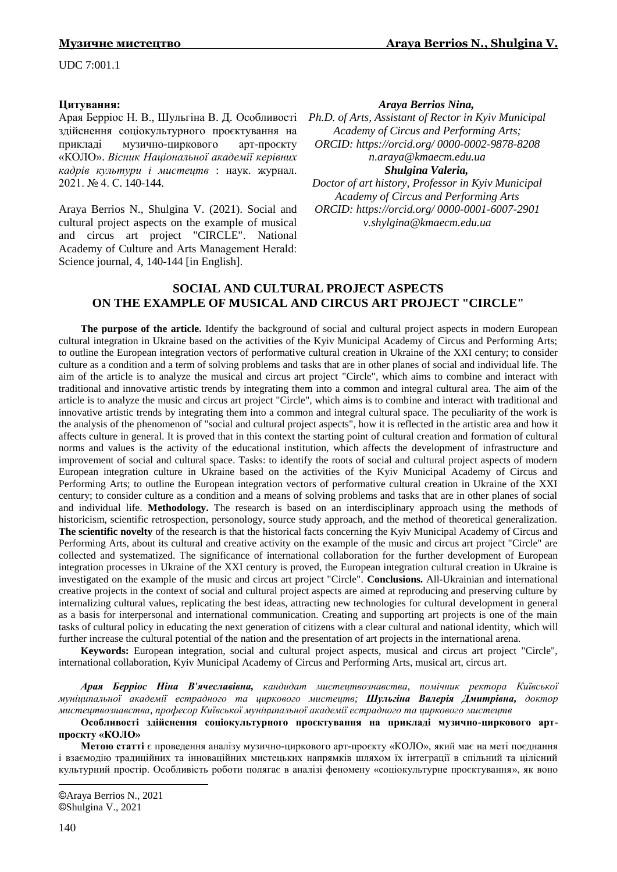UDC 7:001.1

## **Цитування:**

Арая Берріос Н. В., Шульгіна В. Д. Особливості здійснення соціокультурного проєктування на прикладі музично-циркового арт-проєкту «КОЛО». *Вісник Національної академії керівних кадрів культури і мистецтв* : наук. журнал. 2021. № 4. С. 140-144.

Araya Berrios N., Shulgina V. (2021). Social and cultural project aspects on the example of musical and circus art project "CIRCLE". National Academy of Culture and Arts Management Нerald: Science journal, 4, 140-144 [in English].

### *Araya Berrios Nina,©*

*Ph.D. of Arts, Assistant of Rector in Kyiv Municipal Academy of Circus and Performing Arts; ORCID: [https://orcid.org/ 0000-0002-9878-8208](https://orcid.org/%200000-0002-9878-8208) n.araya@kmaecm.edu.ua Shulgina Valeria,©*

*Doctor of art history, Professor in Kyiv Municipal Academy of Circus and Performing Arts ORCID: https://orcid.org/ [0000-0001-6007-2901](https://orcid.org/0000-0001-6007-2901) v.shylgina@kmaecm.edu.ua*

# **SOCIAL AND CULTURAL PROJECT ASPECTS ON THE EXAMPLE OF MUSICAL AND CIRCUS ART PROJECT "CIRCLE"**

**The purpose of the article.** Identify the background of social and cultural project aspects in modern European cultural integration in Ukraine based on the activities of the Kyiv Municipal Academy of Circus and Performing Arts; to outline the European integration vectors of performative cultural creation in Ukraine of the XXI century; to consider culture as a condition and a term of solving problems and tasks that are in other planes of social and individual life. The aim of the article is to analyze the musical and circus art project "Circle", which aims to combine and interact with traditional and innovative artistic trends by integrating them into a common and integral cultural area. The aim of the article is to analyze the music and circus art project "Circle", which aims is to combine and interact with traditional and innovative artistic trends by integrating them into a common and integral cultural space. The peculiarity of the work is the analysis of the phenomenon of "social and cultural project aspects", how it is reflected in the artistic area and how it affects culture in general. It is proved that in this context the starting point of cultural creation and formation of cultural norms and values is the activity of the educational institution, which affects the development of infrastructure and improvement of social and cultural space. Tasks: to identify the roots of social and cultural project aspects of modern European integration culture in Ukraine based on the activities of the Kyiv Municipal Academy of Circus and Performing Arts; to outline the European integration vectors of performative cultural creation in Ukraine of the XXI century; to consider culture as a condition and a means of solving problems and tasks that are in other planes of social and individual life. **Methodology.** The research is based on an interdisciplinary approach using the methods of historicism, scientific retrospection, personology, source study approach, and the method of theoretical generalization. **The scientific novelty** of the research is that the historical facts concerning the Kyiv Municipal Academy of Circus and Performing Arts, about its cultural and creative activity on the example of the music and circus art project "Circle" are collected and systematized. The significance of international collaboration for the further development of European integration processes in Ukraine of the XXI century is proved, the European integration cultural creation in Ukraine is investigated on the example of the music and circus art project "Circle". **Conclusions.** All-Ukrainian and international creative projects in the context of social and cultural project aspects are aimed at reproducing and preserving culture by internalizing cultural values, replicating the best ideas, attracting new technologies for cultural development in general as a basis for interpersonal and international communication. Creating and supporting art projects is one of the main tasks of cultural policy in educating the next generation of citizens with a clear cultural and national identity, which will further increase the cultural potential of the nation and the presentation of art projects in the international arena.

**Keywords:** European integration, social and cultural project aspects, musical and circus art project "Circle", international collaboration, Kyiv Municipal Academy of Circus and Performing Arts, musical art, circus art.

*Арая Берріос Ніна В'ячеславівна, кандидат мистецтвознавства, помічник ректора Київської муніципальної академії естрадного та циркового мистецтв; Шульгіна Валерія Дмитрівна, доктор мистецтвознавства, професор Київської муніципальної академії естрадного та циркового мистецтв*

### **Особливості здійснення соціокультурного проєктування на прикладі музично-циркового артпроєкту «КОЛО»**

**Метою статті** є проведення аналізу музично-циркового арт-проєкту «КОЛО», який має на меті поєднання і взаємодію традиційних та інноваційних мистецьких напрямків шляхом їх інтеграції в спільний та цілісний культурний простір. Особливість роботи полягає в аналізі феномену «соціокультурне проєктування», як воно

1

<sup>©</sup>Araya Berrios N., 2021 ©Shulgina V., 2021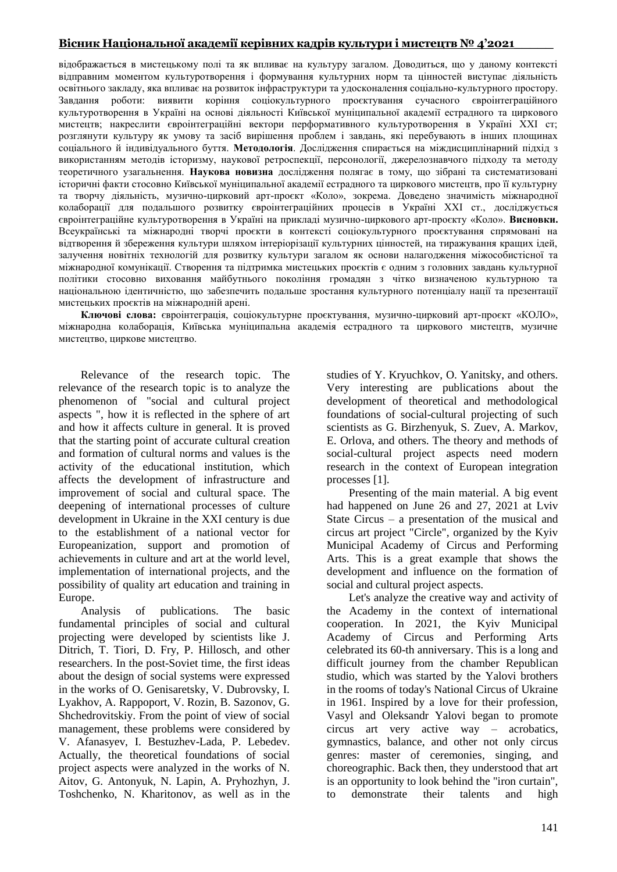# **Вісник Національної академії керівних кадрів культури і мистецтв № 4'2021\_\_\_\_\_**

відображається в мистецькому полі та як впливає на культуру загалом. Доводиться, що у даному контексті відправним моментом культуротворення і формування культурних норм та цінностей виступає діяльність освітнього закладу, яка впливає на розвиток інфраструктури та удосконалення соціально-культурного простору. Завдання роботи: виявити коріння соціокультурного проєктування сучасного євроінтеграційного культуротворення в Україні на основі діяльності Київської муніципальної академії естрадного та циркового мистецтв; накреслити євроінтеграційні вектори перформативного культуротворення в Україні ХХІ ст; розглянути культуру як умову та засіб вирішення проблем і завдань, які перебувають в інших площинах соціального й індивідуального буття. **Методологія**. Дослідження спирається на міждисциплінарний підхід з використанням методів історизму, наукової ретроспекції, персонології, джерелознавчого підходу та методу теоретичного узагальнення. **Наукова новизна** дослідження полягає в тому, що зібрані та систематизовані історичні факти стосовно Київської муніципальної академії естрадного та циркового мистецтв, про її культурну та творчу діяльність, музично-цирковий арт-проєкт «Коло», зокрема. Доведено значимість міжнародної колаборації для подальшого розвитку євроінтеграційних процесів в Україні ХХІ ст., досліджується євроінтеграційне культуротворення в Україні на прикладі музично-циркового арт-проєкту «Коло». **Висновки.** Всеукраїнські та міжнародні творчі проєкти в контексті соціокультурного проєктування спрямовані на відтворення й збереження культури шляхом інтеріорізації культурних цінностей, на тиражування кращих ідей, залучення новітніх технологій для розвитку культури загалом як основи налагодження міжособистісної та міжнародної комунікації. Створення та підтримка мистецьких проєктів є одним з головних завдань культурної політики стосовно виховання майбутнього покоління громадян з чітко визначеною культурною та національною ідентичністю, що забезпечить подальше зростання культурного потенціалу нації та презентації мистецьких проєктів на міжнародній арені.

**Ключові слова:** євроінтеграція, соціокультурне проєктування, музично-цирковий арт-проєкт «КОЛО», міжнародна колаборація, Київська муніципальна академія естрадного та циркового мистецтв, музичне мистецтво, циркове мистецтво.

Relevance of the research topic. The relevance of the research topic is to analyze the phenomenon of "social and cultural project aspects ", how it is reflected in the sphere of art and how it affects culture in general. It is proved that the starting point of accurate cultural creation and formation of cultural norms and values is the activity of the educational institution, which affects the development of infrastructure and improvement of social and cultural space. The deepening of international processes of culture development in Ukraine in the XXI century is due to the establishment of a national vector for Europeanization, support and promotion of achievements in culture and art at the world level, implementation of international projects, and the possibility of quality art education and training in Europe.

Analysis of publications. The basic fundamental principles of social and cultural projecting were developed by scientists like J. Ditrich, T. Tiori, D. Fry, P. Hillosch, and other researchers. In the post-Soviet time, the first ideas about the design of social systems were expressed in the works of O. Genisaretsky, V. Dubrovsky, I. Lyakhov, A. Rappoport, V. Rozin, B. Sazonov, G. Shchedrovitskiy. From the point of view of social management, these problems were considered by V. Afanasyev, I. Bestuzhev-Lada, P. Lebedev. Actually, the theoretical foundations of social project aspects were analyzed in the works of N. Aitov, G. Antonyuk, N. Lapin, A. Pryhozhyn, J. Toshchenko, N. Kharitonov, as well as in the

studies of Y. Kryuchkov, O. Yanitsky, and others. Very interesting are publications about the development of theoretical and methodological foundations of social-cultural projecting of such scientists as G. Birzhenyuk, S. Zuev, A. Markov, E. Orlova, and others. The theory and methods of social-cultural project aspects need modern research in the context of European integration processes [1].

Presenting of the main material. A big event had happened on June 26 and 27, 2021 at Lviv State Circus – a presentation of the musical and circus art project "Circle", organized by the Kyiv Municipal Academy of Circus and Performing Arts. This is a great example that shows the development and influence on the formation of social and cultural project aspects.

Let's analyze the creative way and activity of the Academy in the context of international cooperation. In 2021, the Kyiv Municipal Academy of Circus and Performing Arts celebrated its 60-th anniversary. This is a long and difficult journey from the chamber Republican studio, which was started by the Yalovi brothers in the rooms of today's National Circus of Ukraine in 1961. Inspired by a love for their profession, Vasyl and Oleksandr Yalovi began to promote circus art very active way – acrobatics, gymnastics, balance, and other not only circus genres: master of ceremonies, singing, and choreographic. Back then, they understood that art is an opportunity to look behind the "iron curtain", to demonstrate their talents and high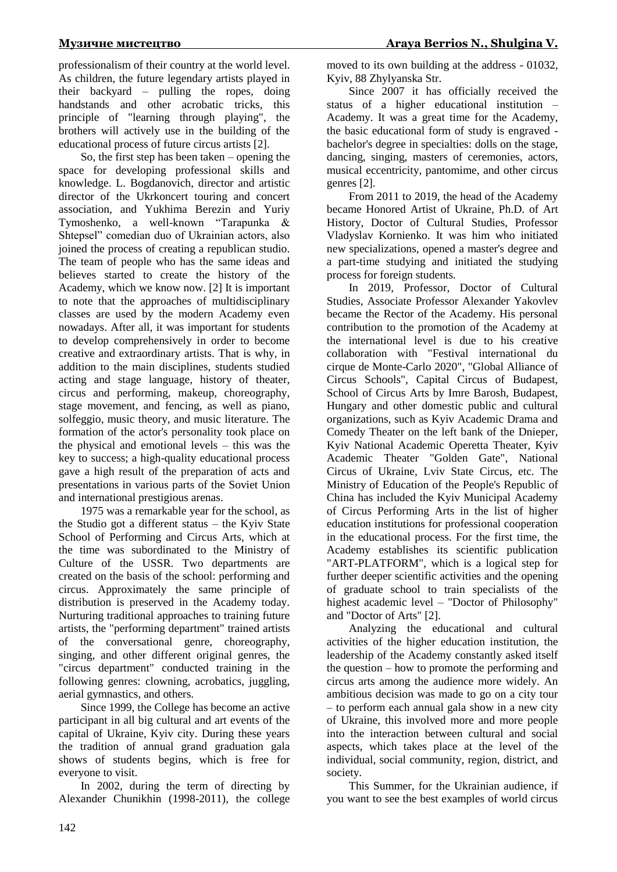professionalism of their country at the world level. As children, the future legendary artists played in their backyard – pulling the ropes, doing handstands and other acrobatic tricks, this principle of "learning through playing", the brothers will actively use in the building of the educational process of future circus artists [2].

So, the first step has been taken – opening the space for developing professional skills and knowledge. L. Bogdanovich, director and artistic director of the Ukrkoncert touring and concert association, and Yukhima Berezin and Yuriy Tymoshenko, a well-known "Tarapunka & Shtepsel" comedian duo of Ukrainian actors, also joined the process of creating a republican studio. The team of people who has the same ideas and believes started to create the history of the Academy, which we know now. [2] It is important to note that the approaches of multidisciplinary classes are used by the modern Academy even nowadays. After all, it was important for students to develop comprehensively in order to become creative and extraordinary artists. That is why, in addition to the main disciplines, students studied acting and stage language, history of theater, circus and performing, makeup, choreography, stage movement, and fencing, as well as piano, solfeggio, music theory, and music literature. The formation of the actor's personality took place on the physical and emotional levels – this was the key to success; a high-quality educational process gave a high result of the preparation of acts and presentations in various parts of the Soviet Union and international prestigious arenas.

1975 was a remarkable year for the school, as the Studio got a different status – the Kyiv State School of Performing and Circus Arts, which at the time was subordinated to the Ministry of Culture of the USSR. Two departments are created on the basis of the school: performing and circus. Approximately the same principle of distribution is preserved in the Academy today. Nurturing traditional approaches to training future artists, the "performing department" trained artists of the conversational genre, choreography, singing, and other different original genres, the "circus department" conducted training in the following genres: clowning, acrobatics, juggling, aerial gymnastics, and others.

Since 1999, the College has become an active participant in all big cultural and art events of the capital of Ukraine, Kyiv city. During these years the tradition of annual grand graduation gala shows of students begins, which is free for everyone to visit.

In 2002, during the term of directing by Alexander Chunikhin (1998-2011), the college moved to its own building at the address - 01032, Kyiv, 88 Zhylyanska Str.

Since 2007 it has officially received the status of a higher educational institution – Academy. It was a great time for the Academy, the basic educational form of study is engraved bachelor's degree in specialties: dolls on the stage, dancing, singing, masters of ceremonies, actors, musical eccentricity, pantomime, and other circus genres [2].

From 2011 to 2019, the head of the Academy became Honored Artist of Ukraine, Ph.D. of Art History, Doctor of Cultural Studies, Professor Vladyslav Kornienko. It was him who initiated new specializations, opened a master's degree and a part-time studying and initiated the studying process for foreign students.

In 2019, Professor, Doctor of Cultural Studies, Associate Professor Alexander Yakovlev became the Rector of the Academy. His personal contribution to the promotion of the Academy at the international level is due to his creative collaboration with "Festival international du cirque de Monte-Carlo 2020", "Global Alliance of Circus Schools", Capital Circus of Budapest, School of Circus Arts by Imre Barosh, Budapest, Hungary and other domestic public and cultural organizations, such as Kyiv Academic Drama and Comedy Theater on the left bank of the Dnieper, Kyiv National Academic Operetta Theater, Kyiv Academic Theater "Golden Gate", National Circus of Ukraine, Lviv State Circus, etc. The Ministry of Education of the People's Republic of China has included the Kyiv Municipal Academy of Circus Performing Arts in the list of higher education institutions for professional cooperation in the educational process. For the first time, the Academy establishes its scientific publication "ART-PLATFORM", which is a logical step for further deeper scientific activities and the opening of graduate school to train specialists of the highest academic level – "Doctor of Philosophy" and "Doctor of Arts" [2].

Analyzing the educational and cultural activities of the higher education institution, the leadership of the Academy constantly asked itself the question – how to promote the performing and circus arts among the audience more widely. An ambitious decision was made to go on a city tour – to perform each annual gala show in a new city of Ukraine, this involved more and more people into the interaction between cultural and social aspects, which takes place at the level of the individual, social community, region, district, and society.

This Summer, for the Ukrainian audience, if you want to see the best examples of world circus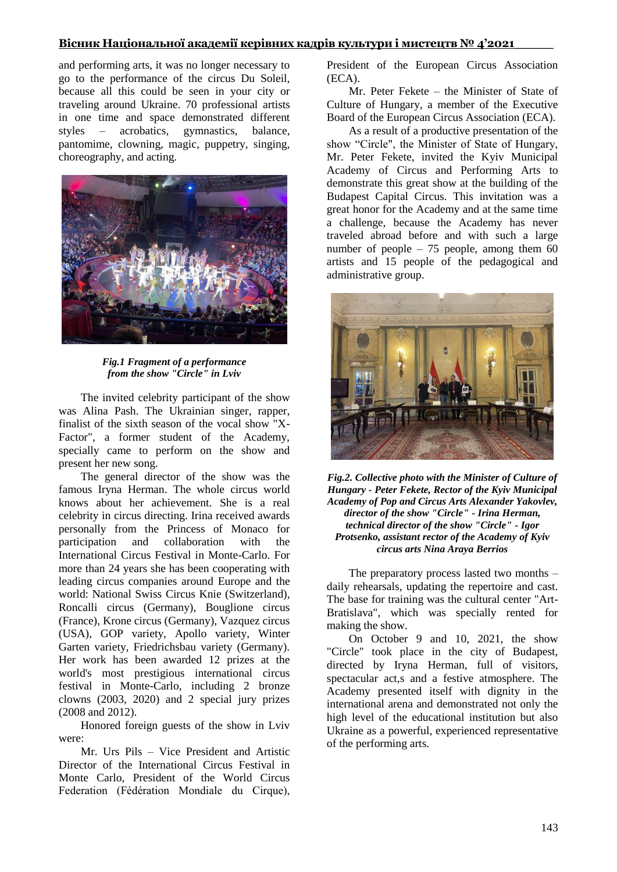## **Вісник Національної академії керівних кадрів культури і мистецтв № 4'2021\_\_\_\_\_**

and performing arts, it was no longer necessary to go to the performance of the circus Du Soleil, because all this could be seen in your city or traveling around Ukraine. 70 professional artists in one time and space demonstrated different styles – acrobatics, gymnastics, balance, pantomime, clowning, magic, puppetry, singing, choreography, and acting.



*Fig.1 Fragment of a performance from the show "Circle" in Lviv*

The invited celebrity participant of the show was Alina Pash. The Ukrainian singer, rapper, finalist of the sixth season of the vocal show "X-Factor", a former student of the Academy, specially came to perform on the show and present her new song.

The general director of the show was the famоus Iryna Herman. The whole circus world knows about her achievement. She is a real celebrity in circus directing. Irina received awards personally from the Princess of Monaco for participation and collaboration with the International Circus Festival in Monte-Carlo. For more than 24 years she has been cooperating with leading circus companies around Europe and the world: National Swiss Circus Knie (Switzerland), Roncalli circus (Germany), Bouglione circus (France), Krone circus (Germany), Vazquez circus (USA), GOP variety, Apollo variety, Winter Garten variety, Friedrichsbau variety (Germany). Her work has been awarded 12 prizes at the world's most prestigious international circus festival in Monte-Carlo, including 2 bronze clowns (2003, 2020) and 2 special jury prizes (2008 and 2012).

Honored foreign guests of the show in Lviv were:

Mr. Urs Pils – Vice President and Artistic Director of the International Circus Festival in Monte Carlo, President of the World Circus Federation (Fédération Mondiale du Cirque), President of the European Circus Association (ECA).

Mr. Peter Fekete – the Minister of State of Culture of Hungary, a member of the Executive Board of the European Circus Association (ECA).

As a result of a productive presentation of the show "Circle", the Minister of State of Hungary, Mr. Peter Fekete, invited the Kyiv Municipal Academy of Circus and Performing Arts to demonstrate this great show at the building of the Budapest Capital Circus. This invitation was a great honor for the Academy and at the same time a challenge, because the Academy has never traveled abroad before and with such a large number of people  $-75$  people, among them 60 artists and 15 people of the pedagogical and administrative group.



*Fig.2. Collective photo with the Minister of Culture of Hungary - Peter Fekete, Rector of the Kyiv Municipal Academy of Pop and Circus Arts Alexander Yakovlev, director of the show "Circle" - Irina Herman, technical director of the show "Circle" - Igor Protsenko, assistant rector of the Academy of Kyiv circus arts Nina Araya Berrios*

The preparatory process lasted two months – daily rehearsals, updating the repertoire and cast. The base for training was the cultural center "Art-Bratislava", which was specially rented for making the show.

On October 9 and 10, 2021, the show "Circle" took place in the city of Budapest, directed by Iryna Herman, full of visitors, spectacular act,s and a festive atmosphere. The Academy presented itself with dignity in the international arena and demonstrated not only the high level of the educational institution but also Ukraine as a powerful, experienced representative of the performing arts.